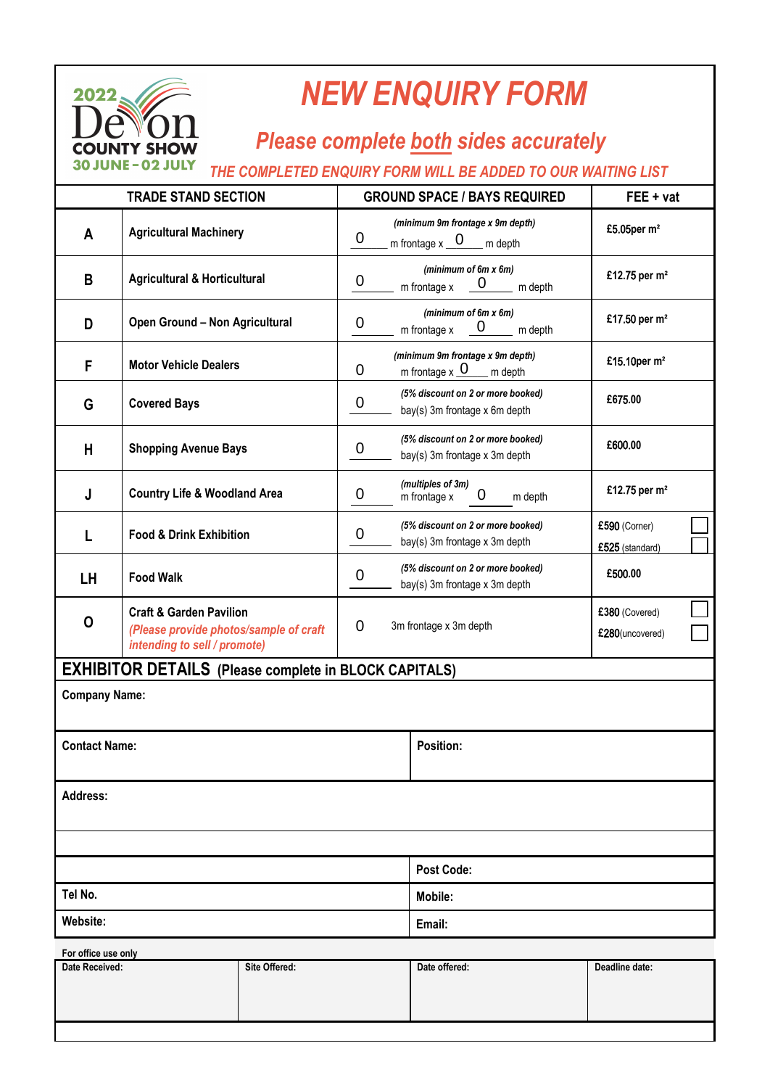

## *NEW ENQUIRY FORM*

## *Please complete both sides accurately*

## *THE COMPLETED ENQUIRY FORM WILL BE ADDED TO OUR WAITING LIST*

| <b>TRADE STAND SECTION</b> |                                                                                                              | <b>GROUND SPACE / BAYS REQUIRED</b> |                                                                                                     |                                                                    | FEE + vat |                                   |  |  |  |
|----------------------------|--------------------------------------------------------------------------------------------------------------|-------------------------------------|-----------------------------------------------------------------------------------------------------|--------------------------------------------------------------------|-----------|-----------------------------------|--|--|--|
| A                          | <b>Agricultural Machinery</b>                                                                                |                                     | (minimum 9m frontage x 9m depth)<br>$\overline{0}$<br>m frontage $x_0$ $\frac{0}{x_0}$<br>$m$ depth |                                                                    |           | £5.05per m <sup>2</sup>           |  |  |  |
| B                          | <b>Agricultural &amp; Horticultural</b>                                                                      |                                     | (minimum of 6m x 6m)<br>$\boldsymbol{0}$<br>$\underline{0}$ m depth<br>m frontage x                 |                                                                    |           | £12.75 per m <sup>2</sup>         |  |  |  |
| D                          | Open Ground - Non Agricultural                                                                               |                                     | (minimum of 6m x 6m)<br>$\boldsymbol{0}$<br>$\mathbf 0$<br>m frontage x<br>m depth                  |                                                                    |           | £17.50 per m <sup>2</sup>         |  |  |  |
| F                          | <b>Motor Vehicle Dealers</b>                                                                                 |                                     | (minimum 9m frontage x 9m depth)<br>m frontage $x_0$ m depth<br>0                                   |                                                                    |           | £15.10per m <sup>2</sup>          |  |  |  |
| G                          | <b>Covered Bays</b>                                                                                          |                                     | 0                                                                                                   | (5% discount on 2 or more booked)<br>bay(s) 3m frontage x 6m depth |           | £675.00                           |  |  |  |
| Н                          | <b>Shopping Avenue Bays</b>                                                                                  |                                     | $\boldsymbol{0}$                                                                                    | (5% discount on 2 or more booked)<br>bay(s) 3m frontage x 3m depth |           | £600.00                           |  |  |  |
| J                          | <b>Country Life &amp; Woodland Area</b>                                                                      |                                     | $\boldsymbol{0}$                                                                                    | (multiples of 3m)<br>0<br>m frontage x<br>m depth                  |           | £12.75 per m <sup>2</sup>         |  |  |  |
| L                          | <b>Food &amp; Drink Exhibition</b>                                                                           |                                     | 0                                                                                                   | (5% discount on 2 or more booked)<br>bay(s) 3m frontage x 3m depth |           | £590 (Corner)<br>£525 (standard)  |  |  |  |
| <b>LH</b>                  | <b>Food Walk</b>                                                                                             |                                     | (5% discount on 2 or more booked)<br>0<br>bay(s) 3m frontage x 3m depth                             |                                                                    |           | £500.00                           |  |  |  |
| 0                          | <b>Craft &amp; Garden Pavilion</b><br>(Please provide photos/sample of craft<br>intending to sell / promote) |                                     | $\overline{0}$<br>3m frontage x 3m depth                                                            |                                                                    |           | £380 (Covered)<br>£280(uncovered) |  |  |  |
|                            | <b>EXHIBITOR DETAILS (Please complete in BLOCK CAPITALS)</b>                                                 |                                     |                                                                                                     |                                                                    |           |                                   |  |  |  |
| <b>Company Name:</b>       |                                                                                                              |                                     |                                                                                                     |                                                                    |           |                                   |  |  |  |
| <b>Contact Name:</b>       |                                                                                                              |                                     |                                                                                                     | <b>Position:</b>                                                   |           |                                   |  |  |  |
| <b>Address:</b>            |                                                                                                              |                                     |                                                                                                     |                                                                    |           |                                   |  |  |  |
|                            |                                                                                                              |                                     |                                                                                                     |                                                                    |           |                                   |  |  |  |
|                            |                                                                                                              |                                     |                                                                                                     | <b>Post Code:</b>                                                  |           |                                   |  |  |  |
| Tel No.                    |                                                                                                              |                                     |                                                                                                     | Mobile:                                                            |           |                                   |  |  |  |
| Website:                   |                                                                                                              |                                     |                                                                                                     | Email:                                                             |           |                                   |  |  |  |
| For office use only        |                                                                                                              |                                     |                                                                                                     |                                                                    |           |                                   |  |  |  |
| Date Received:             |                                                                                                              | Site Offered:                       |                                                                                                     | Date offered:                                                      |           | Deadline date:                    |  |  |  |